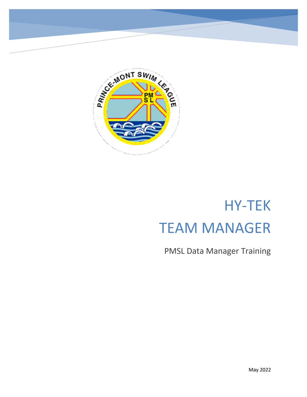

# HY-TEK TEAM MANAGER

PMSL Data Manager Training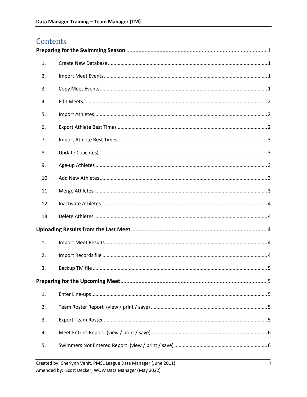# Contents

| 1.  |  |  |
|-----|--|--|
| 2.  |  |  |
| 3.  |  |  |
| 4.  |  |  |
| 5.  |  |  |
| 6.  |  |  |
| 7.  |  |  |
| 8.  |  |  |
| 9.  |  |  |
| 10. |  |  |
| 11. |  |  |
| 12. |  |  |
| 13. |  |  |
|     |  |  |
| 1.  |  |  |
| 2.  |  |  |
| 3.  |  |  |
|     |  |  |
| 1.  |  |  |
| 2.  |  |  |
| 3.  |  |  |
| 4.  |  |  |
| 5.  |  |  |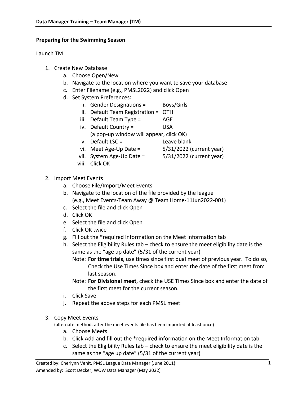#### <span id="page-3-0"></span>**Preparing for the Swimming Season**

#### Launch TM

- <span id="page-3-1"></span>1. Create New Database
	- a. Choose Open/New
	- b. Navigate to the location where you want to save your database
	- c. Enter Filename (e.g., PMSL2022) and click Open
	- d. Set System Preferences:
		- i. Gender Designations = Boys/Girls
		- ii. Default Team Registration = OTH
		- iii. Default Team Type = AGE
		- iv. Default Country = USA
			- (a pop-up window will appear, click OK)
		- v. Default LSC = Leave blank
		- vi. Meet Age-Up Date =  $5/31/2022$  (current year)
		- vii. System Age-Up Date = 5/31/2022 (current year)
		- viii. Click OK
- <span id="page-3-2"></span>2. Import Meet Events
	- a. Choose File/Import/Meet Events
	- b. Navigate to the location of the file provided by the league (e.g., Meet Events-Team Away @ Team Home-11Jun2022-001)
	- c. Select the file and click Open
	- d. Click OK
	- e. Select the file and click Open
	- f. Click OK twice
	- g. Fill out the \*required information on the Meet Information tab
	- h. Select the Eligibility Rules tab check to ensure the meet eligibility date is the same as the "age up date" (5/31 of the current year)
		- Note: **For time trials**, use times since first dual meet of previous year. To do so, Check the Use Times Since box and enter the date of the first meet from last season.
		- Note: **For Divisional meet**, check the USE Times Since box and enter the date of the first meet for the current season.
	- i. Click Save
	- j. Repeat the above steps for each PMSL meet

#### <span id="page-3-3"></span>3. Copy Meet Events

(alternate method, after the meet events file has been imported at least once)

- a. Choose Meets
- b. Click Add and fill out the \*required information on the Meet Information tab
- c. Select the Eligibility Rules tab check to ensure the meet eligibility date is the same as the "age up date" (5/31 of the current year)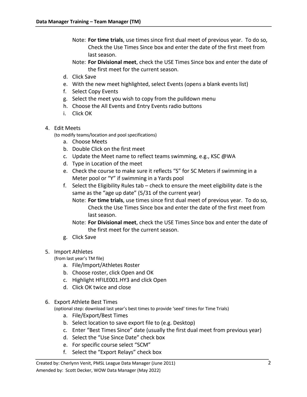- Note: **For time trials**, use times since first dual meet of previous year. To do so, Check the Use Times Since box and enter the date of the first meet from last season.
- Note: **For Divisional meet**, check the USE Times Since box and enter the date of the first meet for the current season.
- d. Click Save
- e. With the new meet highlighted, select Events (opens a blank events list)
- f. Select Copy Events
- g. Select the meet you wish to copy from the pulldown menu
- h. Choose the All Events and Entry Events radio buttons
- i. Click OK
- <span id="page-4-0"></span>4. Edit Meets

(to modify teams/location and pool specifications)

- a. Choose Meets
- b. Double Click on the first meet
- c. Update the Meet name to reflect teams swimming, e.g., KSC @WA
- d. Type in Location of the meet
- e. Check the course to make sure it reflects "S" for SC Meters if swimming in a Meter pool or "Y" if swimming in a Yards pool
- f. Select the Eligibility Rules tab check to ensure the meet eligibility date is the same as the "age up date" (5/31 of the current year)
	- Note: **For time trials**, use times since first dual meet of previous year. To do so, Check the Use Times Since box and enter the date of the first meet from last season.
	- Note: **For Divisional meet**, check the USE Times Since box and enter the date of the first meet for the current season.
- g. Click Save

#### <span id="page-4-1"></span>5. Import Athletes

(from last year's TM file)

- a. File/Import/Athletes Roster
- b. Choose roster, click Open and OK
- c. Highlight HFILE001.HY3 and click Open
- d. Click OK twice and close

#### <span id="page-4-2"></span>6. Export Athlete Best Times

(optional step: download last year's best times to provide 'seed' times for Time Trials)

- a. File/Export/Best Times
- b. Select location to save export file to (e.g. Desktop)
- c. Enter "Best Times Since" date (usually the first dual meet from previous year)
- d. Select the "Use Since Date" check box
- e. For specific course select "SCM"
- f. Select the "Export Relays" check box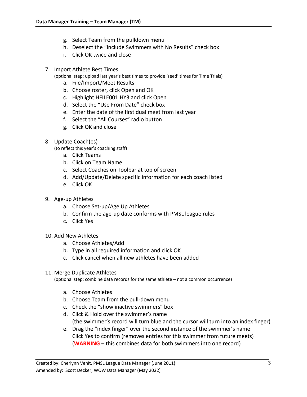- g. Select Team from the pulldown menu
- h. Deselect the "Include Swimmers with No Results" check box
- i. Click OK twice and close
- <span id="page-5-0"></span>7. Import Athlete Best Times

(optional step: upload last year's best times to provide 'seed' times for Time Trials)

- a. File/Import/Meet Results
- b. Choose roster, click Open and OK
- c. Highlight HFILE001.HY3 and click Open
- d. Select the "Use From Date" check box
- e. Enter the date of the first dual meet from last year
- f. Select the "All Courses" radio button
- g. Click OK and close
- <span id="page-5-1"></span>8. Update Coach(es)

(to reflect this year's coaching staff)

- a. Click Teams
- b. Click on Team Name
- c. Select Coaches on Toolbar at top of screen
- d. Add/Update/Delete specific information for each coach listed
- e. Click OK
- <span id="page-5-2"></span>9. Age-up Athletes
	- a. Choose Set-up/Age Up Athletes
	- b. Confirm the age-up date conforms with PMSL league rules
	- c. Click Yes

## <span id="page-5-3"></span>10. Add New Athletes

- a. Choose Athletes/Add
- b. Type in all required information and click OK
- c. Click cancel when all new athletes have been added
- <span id="page-5-4"></span>11. Merge Duplicate Athletes

(optional step: combine data records for the same athlete – not a common occurrence)

- a. Choose Athletes
- b. Choose Team from the pull-down menu
- c. Check the "show inactive swimmers" box
- d. Click & Hold over the swimmer's name (the swimmer's record will turn blue and the cursor will turn into an index finger)
- e. Drag the "index finger" over the second instance of the swimmer's name Click Yes to confirm (removes entries for this swimmer from future meets) (**WARNING** – this combines data for both swimmers into one record)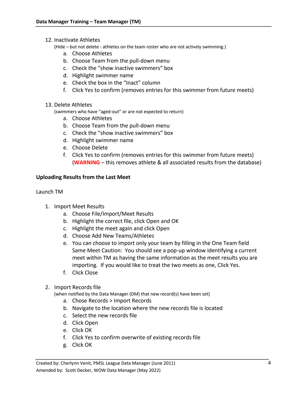<span id="page-6-0"></span>12. Inactivate Athletes

(Hide – but not delete - athletes on the team roster who are not actively swimming.)

- a. Choose Athletes
- b. Choose Team from the pull-down menu
- c. Check the "show inactive swimmers" box
- d. Highlight swimmer name
- e. Check the box in the "Inact" column
- f. Click Yes to confirm (removes entries for this swimmer from future meets)
- <span id="page-6-1"></span>13. Delete Athletes

(swimmers who have "aged-out" or are not expected to return)

- a. Choose Athletes
- b. Choose Team from the pull-down menu
- c. Check the "show inactive swimmers" box
- d. Highlight swimmer name
- e. Choose Delete
- f. Click Yes to confirm (removes entries for this swimmer from future meets) (**WARNING** – this removes athlete & all associated results from the database)

#### <span id="page-6-2"></span>**Uploading Results from the Last Meet**

#### Launch TM

- <span id="page-6-3"></span>1. Import Meet Results
	- a. Choose File/Import/Meet Results
	- b. Highlight the correct file, click Open and OK
	- c. Highlight the meet again and click Open
	- d. Choose Add New Teams/Athletes
	- e. You can choose to import only your team by filling in the One Team field Same Meet Caution: You should see a pop-up window identifying a current meet within TM as having the same information as the meet results you are importing. If you would like to treat the two meets as one, Click Yes.
	- f. Click Close
- <span id="page-6-4"></span>2. Import Records file

(when notified by the Data Manager (DM) that new record(s) have been set)

- a. Chose Records > Import Records
- b. Navigate to the location where the new records file is located
- c. Select the new records file
- d. Click Open
- e. Click OK
- f. Click Yes to confirm overwrite of existing records file
- g. Click OK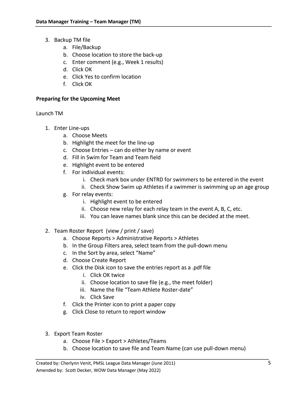- <span id="page-7-0"></span>3. Backup TM file
	- a. File/Backup
	- b. Choose location to store the back-up
	- c. Enter comment (e.g., Week 1 results)
	- d. Click OK
	- e. Click Yes to confirm location
	- f. Click OK

### <span id="page-7-1"></span>**Preparing for the Upcoming Meet**

Launch TM

- <span id="page-7-2"></span>1. Enter Line-ups
	- a. Choose Meets
	- b. Highlight the meet for the line-up
	- c. Choose Entries can do either by name or event
	- d. Fill in Swim for Team and Team field
	- e. Highlight event to be entered
	- f. For individual events:
		- i. Check mark box under ENTRD for swimmers to be entered in the event
		- ii. Check Show Swim up Athletes if a swimmer is swimming up an age group
	- g. For relay events:
		- i. Highlight event to be entered
		- ii. Choose new relay for each relay team in the event A, B, C, etc.
		- iii. You can leave names blank since this can be decided at the meet.
- <span id="page-7-3"></span>2. Team Roster Report (view / print / save)
	- a. Choose Reports > Administrative Reports > Athletes
	- b. In the Group Filters area, select team from the pull-down menu
	- c. In the Sort by area, select "Name"
	- d. Choose Create Report
	- e. Click the Disk icon to save the entries report as a .pdf file
		- i. Click OK twice
		- ii. Choose location to save file (e.g., the meet folder)
		- iii. Name the file "Team Athlete Roster-date"
		- iv. Click Save
	- f. Click the Printer icon to print a paper copy
	- g. Click Close to return to report window
- <span id="page-7-4"></span>3. Export Team Roster
	- a. Choose File > Export > Athletes/Teams
	- b. Choose location to save file and Team Name (can use pull-down menu)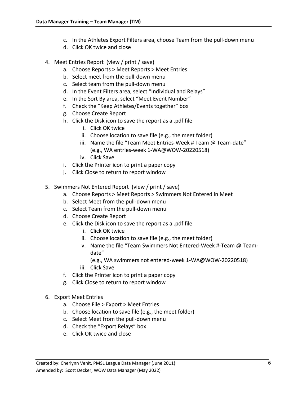- c. In the Athletes Export Filters area, choose Team from the pull-down menu
- d. Click OK twice and close
- <span id="page-8-0"></span>4. Meet Entries Report (view / print / save)
	- a. Choose Reports > Meet Reports > Meet Entries
	- b. Select meet from the pull-down menu
	- c. Select team from the pull-down menu
	- d. In the Event Filters area, select "Individual and Relays"
	- e. In the Sort By area, select "Meet Event Number"
	- f. Check the "Keep Athletes/Events together" box
	- g. Choose Create Report
	- h. Click the Disk icon to save the report as a .pdf file
		- i. Click OK twice
		- ii. Choose location to save file (e.g., the meet folder)
		- iii. Name the file "Team Meet Entries-Week # Team @ Team-date" (e.g., WA entries-week 1-WA@WOW-20220518)
		- iv. Click Save
	- i. Click the Printer icon to print a paper copy
	- j. Click Close to return to report window
- <span id="page-8-1"></span>5. Swimmers Not Entered Report (view / print / save)
	- a. Choose Reports > Meet Reports > Swimmers Not Entered in Meet
	- b. Select Meet from the pull-down menu
	- c. Select Team from the pull-down menu
	- d. Choose Create Report
	- e. Click the Disk icon to save the report as a .pdf file
		- i. Click OK twice
		- ii. Choose location to save file (e.g., the meet folder)
		- v. Name the file "Team Swimmers Not Entered-Week #-Team @ Teamdate"
			- (e.g., WA swimmers not entered-week 1-WA@WOW-20220518)
		- iii. Click Save
	- f. Click the Printer icon to print a paper copy
	- g. Click Close to return to report window
- <span id="page-8-2"></span>6. Export Meet Entries
	- a. Choose File > Export > Meet Entries
	- b. Choose location to save file (e.g., the meet folder)
	- c. Select Meet from the pull-down menu
	- d. Check the "Export Relays" box
	- e. Click OK twice and close